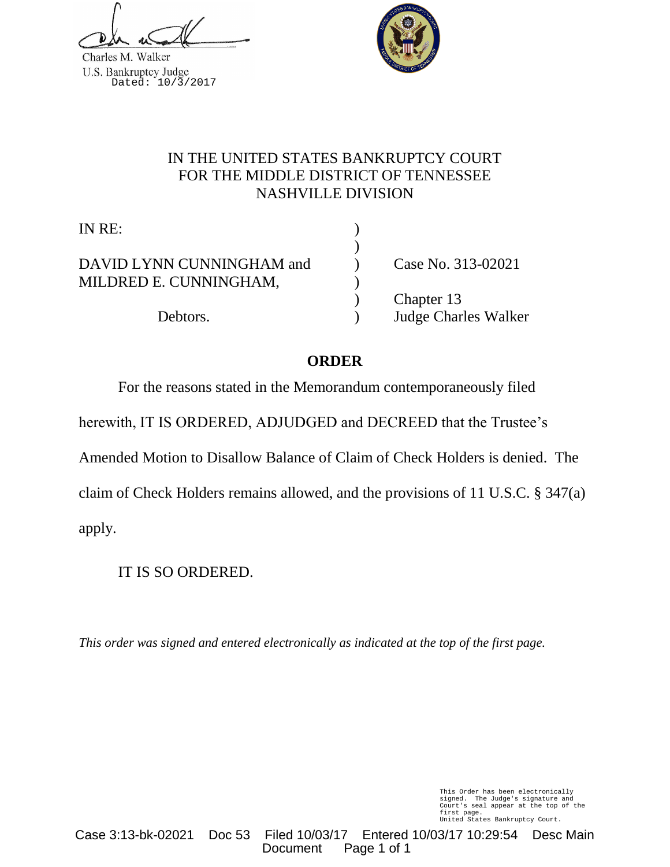Charles M. Walker U.S. Bankruptcy Judge<br>Dated: 10/3/2017



# IN THE UNITED STATES BANKRUPTCY COURT FOR THE MIDDLE DISTRICT OF TENNESSEE NASHVILLE DIVISION

)

IN RE: )

DAVID LYNN CUNNINGHAM and (Case No. 313-02021) MILDRED E. CUNNINGHAM, )

) Chapter 13 Debtors. ) Judge Charles Walker

# **ORDER**

For the reasons stated in the Memorandum contemporaneously filed

herewith, IT IS ORDERED, ADJUDGED and DECREED that the Trustee's

Amended Motion to Disallow Balance of Claim of Check Holders is denied. The

claim of Check Holders remains allowed, and the provisions of 11 U.S.C. § 347(a)

apply.

IT IS SO ORDERED.

*This order was signed and entered electronically as indicated at the top of the first page.*

This Order has been electronically signed. The Judge's signature and Court's seal appear at the top of the first page. United States Bankruptcy Court.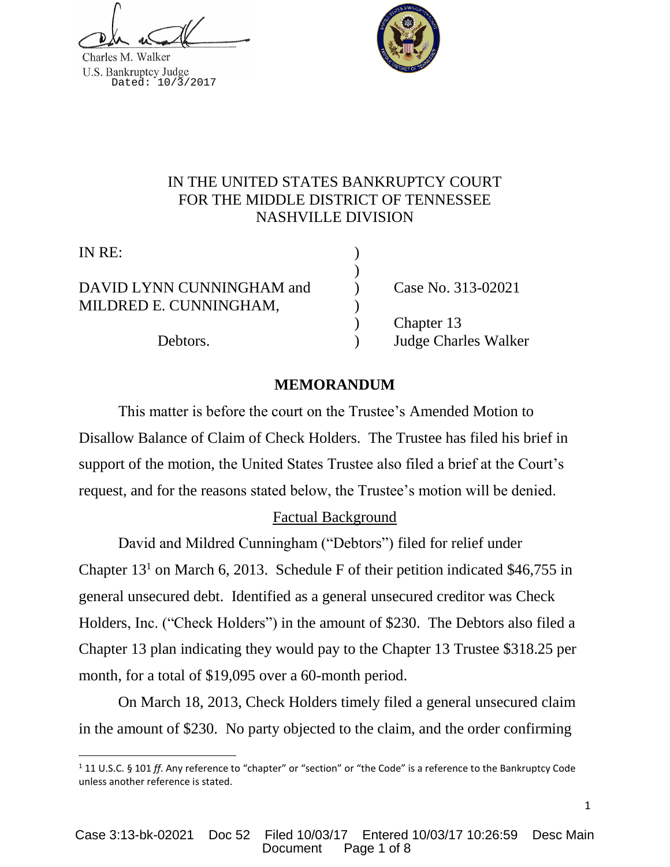Charles M. Walker U.S. Bankruptcy Judge<br>Dated: 10/3/2017



## IN THE UNITED STATES BANKRUPTCY COURT FOR THE MIDDLE DISTRICT OF TENNESSEE NASHVILLE DIVISION

)

IN RE:

l

DAVID LYNN CUNNINGHAM and (Case No. 313-02021) MILDRED E. CUNNINGHAM, )

) Chapter 13 Debtors. ) Judge Charles Walker

## **MEMORANDUM**

This matter is before the court on the Trustee's Amended Motion to Disallow Balance of Claim of Check Holders. The Trustee has filed his brief in support of the motion, the United States Trustee also filed a brief at the Court's request, and for the reasons stated below, the Trustee's motion will be denied.

# Factual Background

David and Mildred Cunningham ("Debtors") filed for relief under Chapter  $13<sup>1</sup>$  on March 6, 2013. Schedule F of their petition indicated \$46,755 in general unsecured debt. Identified as a general unsecured creditor was Check Holders, Inc. ("Check Holders") in the amount of \$230. The Debtors also filed a Chapter 13 plan indicating they would pay to the Chapter 13 Trustee \$318.25 per month, for a total of \$19,095 over a 60-month period.

On March 18, 2013, Check Holders timely filed a general unsecured claim in the amount of \$230. No party objected to the claim, and the order confirming

<sup>1</sup> 11 U.S.C. § 101 *ff*. Any reference to "chapter" or "section" or "the Code" is a reference to the Bankruptcy Code unless another reference is stated.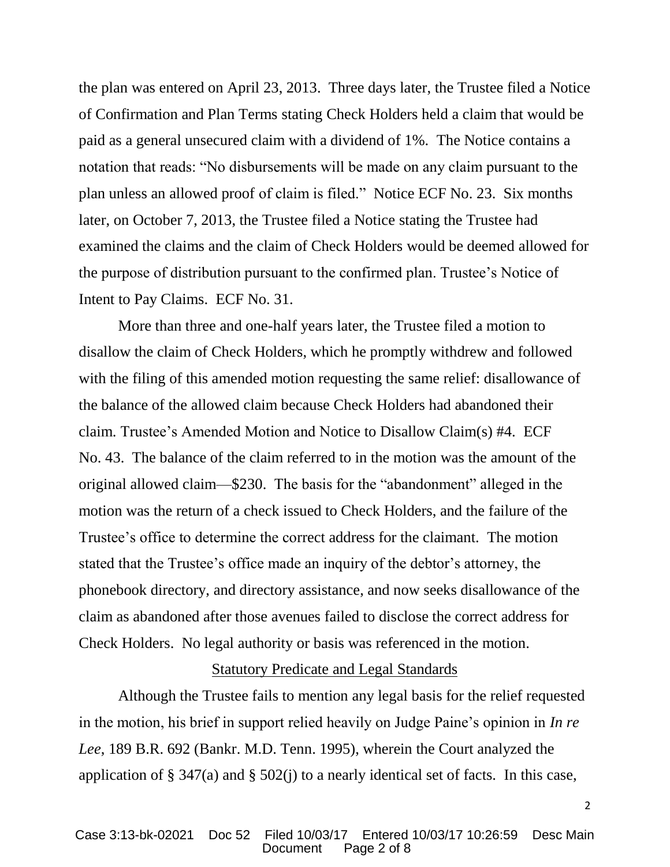the plan was entered on April 23, 2013. Three days later, the Trustee filed a Notice of Confirmation and Plan Terms stating Check Holders held a claim that would be paid as a general unsecured claim with a dividend of 1%. The Notice contains a notation that reads: "No disbursements will be made on any claim pursuant to the plan unless an allowed proof of claim is filed." Notice ECF No. 23. Six months later, on October 7, 2013, the Trustee filed a Notice stating the Trustee had examined the claims and the claim of Check Holders would be deemed allowed for the purpose of distribution pursuant to the confirmed plan. Trustee's Notice of Intent to Pay Claims. ECF No. 31.

More than three and one-half years later, the Trustee filed a motion to disallow the claim of Check Holders, which he promptly withdrew and followed with the filing of this amended motion requesting the same relief: disallowance of the balance of the allowed claim because Check Holders had abandoned their claim. Trustee's Amended Motion and Notice to Disallow Claim(s) #4. ECF No. 43. The balance of the claim referred to in the motion was the amount of the original allowed claim—\$230. The basis for the "abandonment" alleged in the motion was the return of a check issued to Check Holders, and the failure of the Trustee's office to determine the correct address for the claimant. The motion stated that the Trustee's office made an inquiry of the debtor's attorney, the phonebook directory, and directory assistance, and now seeks disallowance of the claim as abandoned after those avenues failed to disclose the correct address for Check Holders. No legal authority or basis was referenced in the motion.

#### Statutory Predicate and Legal Standards

Although the Trustee fails to mention any legal basis for the relief requested in the motion, his brief in support relied heavily on Judge Paine's opinion in *In re Lee*, 189 B.R. 692 (Bankr. M.D. Tenn. 1995), wherein the Court analyzed the application of  $\S 347(a)$  and  $\S 502(j)$  to a nearly identical set of facts. In this case,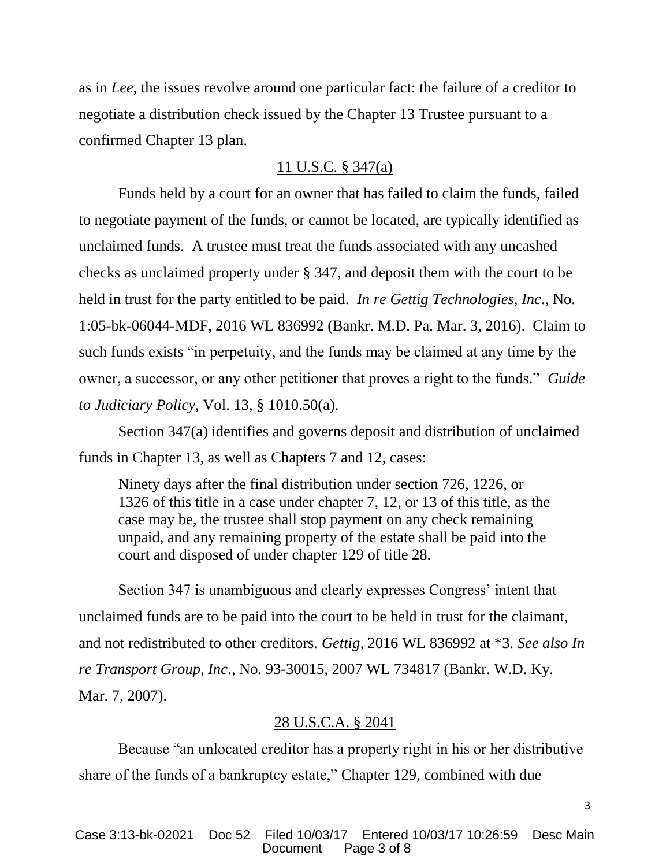as in *Lee*, the issues revolve around one particular fact: the failure of a creditor to negotiate a distribution check issued by the Chapter 13 Trustee pursuant to a confirmed Chapter 13 plan.

#### 11 U.S.C. § 347(a)

Funds held by a court for an owner that has failed to claim the funds, failed to negotiate payment of the funds, or cannot be located, are typically identified as unclaimed funds. A trustee must treat the funds associated with any uncashed checks as unclaimed property under § 347, and deposit them with the court to be held in trust for the party entitled to be paid. *In re Gettig Technologies, Inc*., No. 1:05-bk-06044-MDF, 2016 WL 836992 (Bankr. M.D. Pa. Mar. 3, 2016). Claim to such funds exists "in perpetuity, and the funds may be claimed at any time by the owner, a successor, or any other petitioner that proves a right to the funds." *Guide to Judiciary Policy,* Vol. 13, § 1010.50(a).

Section 347(a) identifies and governs deposit and distribution of unclaimed funds in Chapter 13, as well as Chapters 7 and 12, cases:

Ninety days after the final distribution under section 726, 1226, or 1326 of this title in a case under chapter 7, 12, or 13 of this title, as the case may be, the trustee shall stop payment on any check remaining unpaid, and any remaining property of the estate shall be paid into the court and disposed of under chapter 129 of title 28.

Section 347 is unambiguous and clearly expresses Congress' intent that unclaimed funds are to be paid into the court to be held in trust for the claimant, and not redistributed to other creditors*. Gettig,* 2016 WL 836992 at \*3. *See also In re Transport Group, Inc*., No. 93-30015, 2007 WL 734817 (Bankr. W.D. Ky. Mar. 7, 2007).

## 28 U.S.C.A. § 2041

Because "an unlocated creditor has a property right in his or her distributive share of the funds of a bankruptcy estate," Chapter 129, combined with due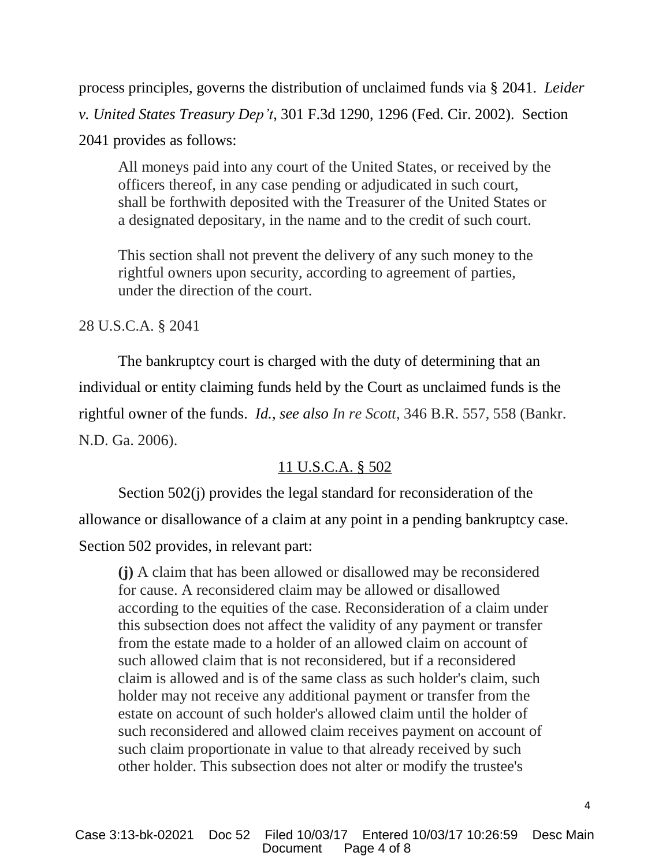process principles, governs the distribution of unclaimed funds via § 2041. *Leider v. United States Treasury Dep't*, 301 F.3d 1290, 1296 (Fed. Cir. 2002). Section 2041 provides as follows:

All moneys paid into any court of the United States, or received by the officers thereof, in any case pending or adjudicated in such court, shall be forthwith deposited with the Treasurer of the United States or a designated depositary, in the name and to the credit of such court.

This section shall not prevent the delivery of any such money to the rightful owners upon security, according to agreement of parties, under the direction of the court.

### 28 U.S.C.A. § 2041

The bankruptcy court is charged with the duty of determining that an individual or entity claiming funds held by the Court as unclaimed funds is the rightful owner of the funds. *Id.*, *see also In re Scott*, 346 B.R. 557, 558 (Bankr. N.D. Ga. 2006).

### 11 U.S.C.A. § 502

Section 502(j) provides the legal standard for reconsideration of the allowance or disallowance of a claim at any point in a pending bankruptcy case. Section 502 provides, in relevant part:

**(j)** A claim that has been allowed or disallowed may be reconsidered for cause. A reconsidered claim may be allowed or disallowed according to the equities of the case. Reconsideration of a claim under this subsection does not affect the validity of any payment or transfer from the estate made to a holder of an allowed claim on account of such allowed claim that is not reconsidered, but if a reconsidered claim is allowed and is of the same class as such holder's claim, such holder may not receive any additional payment or transfer from the estate on account of such holder's allowed claim until the holder of such reconsidered and allowed claim receives payment on account of such claim proportionate in value to that already received by such other holder. This subsection does not alter or modify the trustee's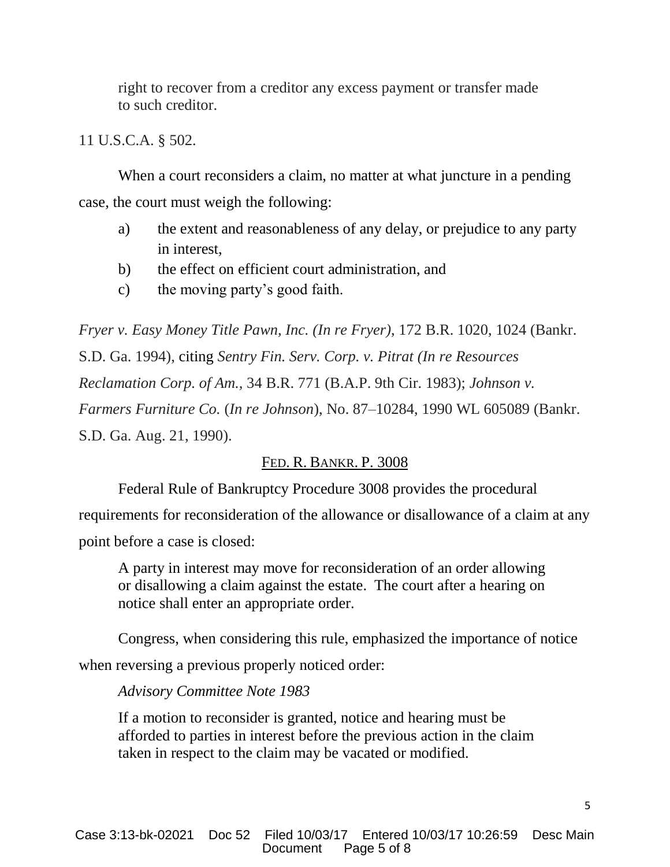right to recover from a creditor any excess payment or transfer made to such creditor.

11 U.S.C.A. § 502.

When a court reconsiders a claim, no matter at what juncture in a pending case, the court must weigh the following:

- a) the extent and reasonableness of any delay, or prejudice to any party in interest,
- b) the effect on efficient court administration, and
- c) the moving party's good faith.

*Fryer v. Easy Money Title Pawn, Inc. (In re Fryer)*, 172 B.R. 1020, 1024 (Bankr. S.D. Ga. 1994), citing *Sentry Fin. Serv. Corp. v. Pitrat (In re Resources Reclamation Corp. of Am.,* 34 B.R. 771 (B.A.P. 9th Cir. 1983); *Johnson v. Farmers Furniture Co.* (*In re Johnson*), No. 87–10284, 1990 WL 605089 (Bankr. S.D. Ga. Aug. 21, 1990).

## FED. R. BANKR. P. 3008

Federal Rule of Bankruptcy Procedure 3008 provides the procedural

requirements for reconsideration of the allowance or disallowance of a claim at any point before a case is closed:

A party in interest may move for reconsideration of an order allowing or disallowing a claim against the estate. The court after a hearing on notice shall enter an appropriate order.

Congress, when considering this rule, emphasized the importance of notice when reversing a previous properly noticed order:

### *Advisory Committee Note 1983*

If a motion to reconsider is granted, notice and hearing must be afforded to parties in interest before the previous action in the claim taken in respect to the claim may be vacated or modified.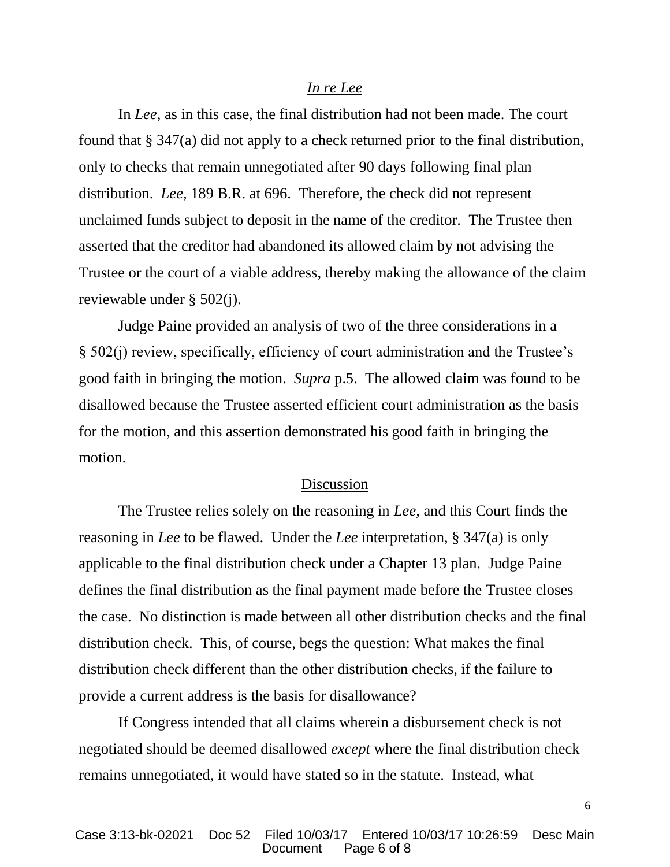#### *In re Lee*

In *Lee*, as in this case, the final distribution had not been made. The court found that § 347(a) did not apply to a check returned prior to the final distribution, only to checks that remain unnegotiated after 90 days following final plan distribution. *Lee*, 189 B.R. at 696. Therefore, the check did not represent unclaimed funds subject to deposit in the name of the creditor. The Trustee then asserted that the creditor had abandoned its allowed claim by not advising the Trustee or the court of a viable address, thereby making the allowance of the claim reviewable under § 502(j).

Judge Paine provided an analysis of two of the three considerations in a § 502(j) review, specifically, efficiency of court administration and the Trustee's good faith in bringing the motion. *Supra* p.5. The allowed claim was found to be disallowed because the Trustee asserted efficient court administration as the basis for the motion, and this assertion demonstrated his good faith in bringing the motion.

#### Discussion

The Trustee relies solely on the reasoning in *Lee,* and this Court finds the reasoning in *Lee* to be flawed. Under the *Lee* interpretation, § 347(a) is only applicable to the final distribution check under a Chapter 13 plan. Judge Paine defines the final distribution as the final payment made before the Trustee closes the case. No distinction is made between all other distribution checks and the final distribution check. This, of course, begs the question: What makes the final distribution check different than the other distribution checks, if the failure to provide a current address is the basis for disallowance?

If Congress intended that all claims wherein a disbursement check is not negotiated should be deemed disallowed *except* where the final distribution check remains unnegotiated, it would have stated so in the statute. Instead, what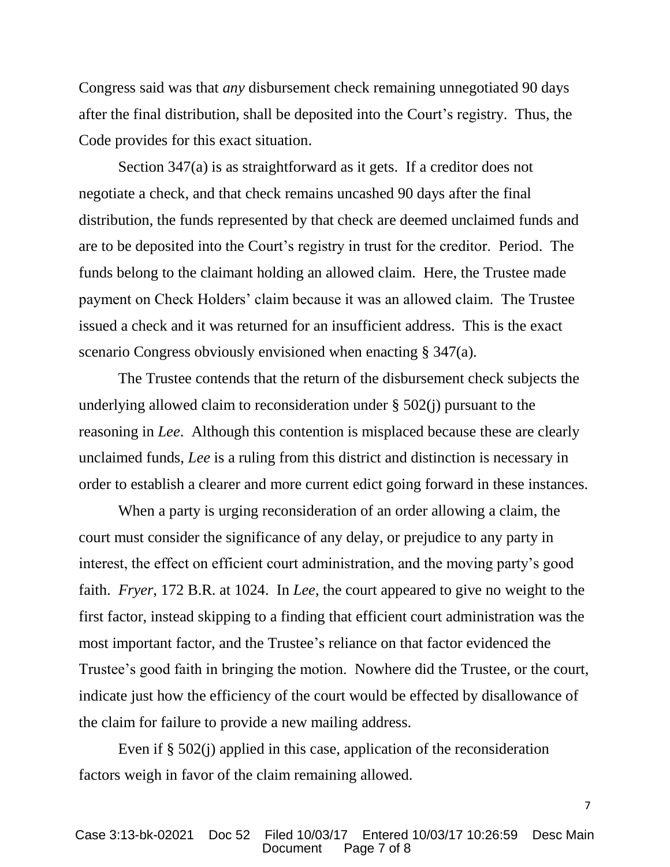Congress said was that *any* disbursement check remaining unnegotiated 90 days after the final distribution, shall be deposited into the Court's registry. Thus, the Code provides for this exact situation.

Section 347(a) is as straightforward as it gets. If a creditor does not negotiate a check, and that check remains uncashed 90 days after the final distribution, the funds represented by that check are deemed unclaimed funds and are to be deposited into the Court's registry in trust for the creditor. Period. The funds belong to the claimant holding an allowed claim. Here, the Trustee made payment on Check Holders' claim because it was an allowed claim. The Trustee issued a check and it was returned for an insufficient address. This is the exact scenario Congress obviously envisioned when enacting § 347(a).

The Trustee contends that the return of the disbursement check subjects the underlying allowed claim to reconsideration under § 502(j) pursuant to the reasoning in *Lee*. Although this contention is misplaced because these are clearly unclaimed funds, *Lee* is a ruling from this district and distinction is necessary in order to establish a clearer and more current edict going forward in these instances.

When a party is urging reconsideration of an order allowing a claim, the court must consider the significance of any delay, or prejudice to any party in interest, the effect on efficient court administration, and the moving party's good faith. *Fryer*, 172 B.R. at 1024. In *Lee*, the court appeared to give no weight to the first factor, instead skipping to a finding that efficient court administration was the most important factor, and the Trustee's reliance on that factor evidenced the Trustee's good faith in bringing the motion. Nowhere did the Trustee, or the court, indicate just how the efficiency of the court would be effected by disallowance of the claim for failure to provide a new mailing address.

Even if § 502(j) applied in this case, application of the reconsideration factors weigh in favor of the claim remaining allowed.